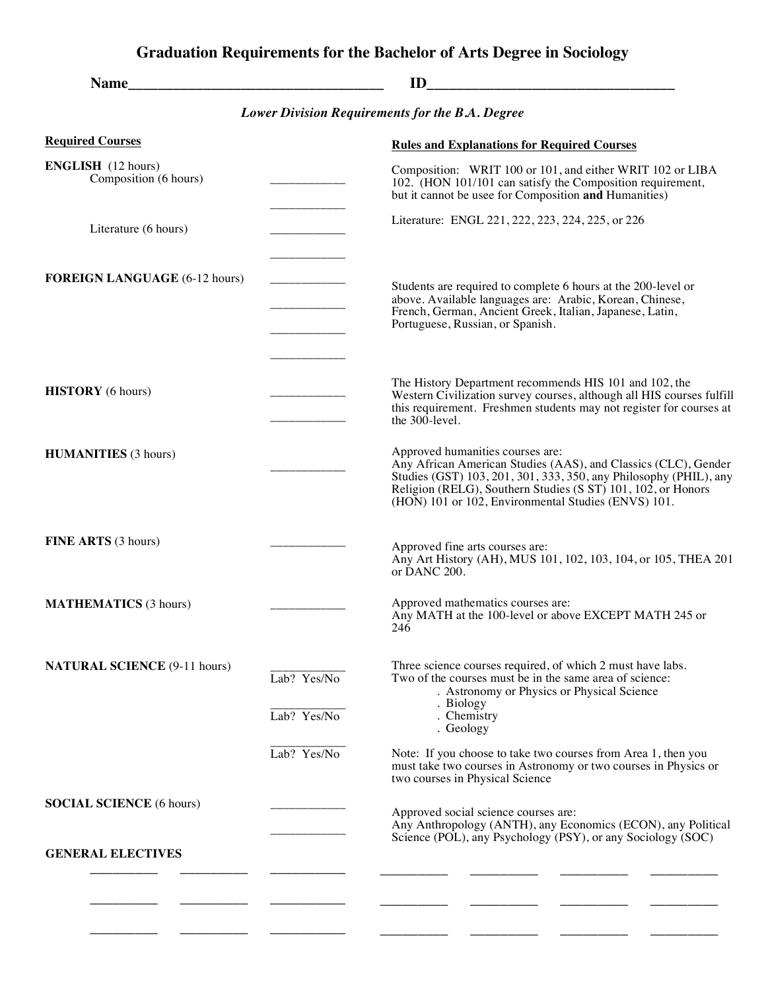## **Graduation Requirements for the Bachelor of Arts Degree in Sociology**

| <b>Name</b>                                        | <u> 1980 - Johann Barn, mars ann an t-Amhain an t-Amhain an t-Amhain an t-Amhain an t-Amhain an t-Amhain an t-A</u> | ID                                                                                                                                                                                                                                                                                             |
|----------------------------------------------------|---------------------------------------------------------------------------------------------------------------------|------------------------------------------------------------------------------------------------------------------------------------------------------------------------------------------------------------------------------------------------------------------------------------------------|
|                                                    |                                                                                                                     | <b>Lower Division Requirements for the B.A. Degree</b>                                                                                                                                                                                                                                         |
| <b>Required Courses</b>                            |                                                                                                                     | <b>Rules and Explanations for Required Courses</b>                                                                                                                                                                                                                                             |
| <b>ENGLISH</b> (12 hours)<br>Composition (6 hours) |                                                                                                                     | Composition: WRIT 100 or 101, and either WRIT 102 or LIBA<br>102. (HON 101/101 can satisfy the Composition requirement,<br>but it cannot be usee for Composition and Humanities)                                                                                                               |
| Literature (6 hours)                               |                                                                                                                     | Literature: ENGL 221, 222, 223, 224, 225, or 226                                                                                                                                                                                                                                               |
| <b>FOREIGN LANGUAGE (6-12 hours)</b>               |                                                                                                                     | Students are required to complete 6 hours at the 200-level or<br>above. Available languages are: Arabic, Korean, Chinese,<br>French, German, Ancient Greek, Italian, Japanese, Latin,<br>Portuguese, Russian, or Spanish.                                                                      |
| <b>HISTORY</b> (6 hours)                           |                                                                                                                     | The History Department recommends HIS 101 and 102, the<br>Western Civilization survey courses, although all HIS courses fulfill<br>this requirement. Freshmen students may not register for courses at<br>the 300-level.                                                                       |
| <b>HUMANITIES</b> (3 hours)                        |                                                                                                                     | Approved humanities courses are:<br>Any African American Studies (AAS), and Classics (CLC), Gender<br>Studies (GST) 103, 201, 301, 333, 350, any Philosophy (PHIL), any<br>Religion (RELG), Southern Studies (S ST) 101, 102, or Honors<br>(HON) 101 or 102, Environmental Studies (ENVS) 101. |
| FINE ARTS (3 hours)                                |                                                                                                                     | Approved fine arts courses are:<br>Any Art History (AH), MUS 101, 102, 103, 104, or 105, THEA 201<br>or DANC 200.                                                                                                                                                                              |
| <b>MATHEMATICS</b> (3 hours)                       |                                                                                                                     | Approved mathematics courses are:<br>Any MATH at the 100-level or above EXCEPT MATH 245 or<br>246                                                                                                                                                                                              |
| <b>NATURAL SCIENCE (9-11 hours)</b>                | Lab? Yes/No<br>Lab? Yes/No                                                                                          | Three science courses required, of which 2 must have labs.<br>Two of the courses must be in the same area of science:<br>. Astronomy or Physics or Physical Science<br>. Biology<br>. Chemistry<br>. Geology                                                                                   |
|                                                    | Lab? Yes/No                                                                                                         | Note: If you choose to take two courses from Area 1, then you<br>must take two courses in Astronomy or two courses in Physics or<br>two courses in Physical Science                                                                                                                            |
| <b>SOCIAL SCIENCE</b> (6 hours)                    |                                                                                                                     | Approved social science courses are:<br>Any Anthropology (ANTH), any Economics (ECON), any Political                                                                                                                                                                                           |
| <b>GENERAL ELECTIVES</b>                           |                                                                                                                     | Science (POL), any Psychology (PSY), or any Sociology (SOC)                                                                                                                                                                                                                                    |
|                                                    |                                                                                                                     |                                                                                                                                                                                                                                                                                                |